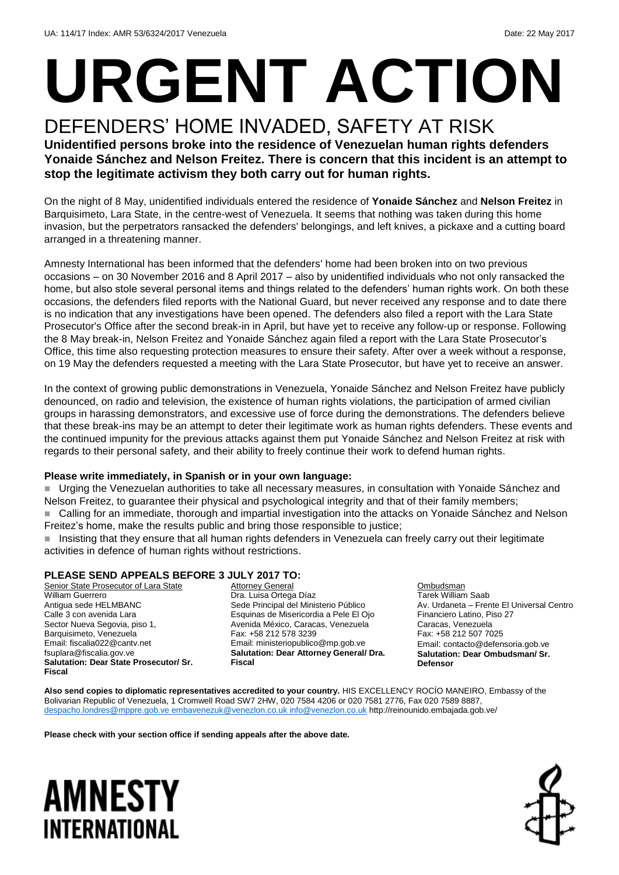# **URGENT ACTION**

### DEFENDERS' HOME INVADED, SAFETY AT RISK

**Unidentified persons broke into the residence of Venezuelan human rights defenders Yonaide Sánchez and Nelson Freitez. There is concern that this incident is an attempt to stop the legitimate activism they both carry out for human rights.**

On the night of 8 May, unidentified individuals entered the residence of **Yonaide Sánchez** and **Nelson Freitez** in Barquisimeto, Lara State, in the centre-west of Venezuela. It seems that nothing was taken during this home invasion, but the perpetrators ransacked the defenders' belongings, and left knives, a pickaxe and a cutting board arranged in a threatening manner.

Amnesty International has been informed that the defenders' home had been broken into on two previous occasions – on 30 November 2016 and 8 April 2017 – also by unidentified individuals who not only ransacked the home, but also stole several personal items and things related to the defenders' human rights work. On both these occasions, the defenders filed reports with the National Guard, but never received any response and to date there is no indication that any investigations have been opened. The defenders also filed a report with the Lara State Prosecutor's Office after the second break-in in April, but have yet to receive any follow-up or response. Following the 8 May break-in, Nelson Freitez and Yonaide Sánchez again filed a report with the Lara State Prosecutor's Office, this time also requesting protection measures to ensure their safety. After over a week without a response, on 19 May the defenders requested a meeting with the Lara State Prosecutor, but have yet to receive an answer.

In the context of growing public demonstrations in Venezuela, Yonaide Sánchez and Nelson Freitez have publicly denounced, on radio and television, the existence of human rights violations, the participation of armed civilian groups in harassing demonstrators, and excessive use of force during the demonstrations. The defenders believe that these break-ins may be an attempt to deter their legitimate work as human rights defenders. These events and the continued impunity for the previous attacks against them put Yonaide Sánchez and Nelson Freitez at risk with regards to their personal safety, and their ability to freely continue their work to defend human rights.

#### **Please write immediately, in Spanish or in your own language:**

 Urging the Venezuelan authorities to take all necessary measures, in consultation with Yonaide Sánchez and Nelson Freitez, to guarantee their physical and psychological integrity and that of their family members; ■ Calling for an immediate, thorough and impartial investigation into the attacks on Yonaide Sánchez and Nelson Freitez's home, make the results public and bring those responsible to justice;

■ Insisting that they ensure that all human rights defenders in Venezuela can freely carry out their legitimate activities in defence of human rights without restrictions.

#### **PLEASE SEND APPEALS BEFORE 3 JULY 2017 TO:**

Senior State Prosecutor of Lara State William Guerrero Antigua sede HELMBANC Calle 3 con avenida Lara Sector Nueva Segovia, piso 1, Barquisimeto, Venezuela Email: fiscalia022@cantv.net fsuplara@fiscalia.gov.ve **Salutation: Dear State Prosecutor/ Sr. Fiscal**

**Attorney General** Dra. Luisa Ortega Díaz Sede Principal del Ministerio Público Esquinas de Misericordia a Pele El Ojo Avenida México, Caracas, Venezuela Fax: +58 212 578 3239 Email: ministeriopublico@mp.gob.ve **Salutation: Dear Attorney General/ Dra. Fiscal**

**Ombudsman** Tarek William Saab Av. Urdaneta – Frente El Universal Centro Financiero Latino, Piso 27 Caracas, Venezuela Fax: +58 212 507 7025 Email: contacto@defensoria.gob.ve **Salutation: Dear Ombudsman/ Sr. Defensor**

**Also send copies to diplomatic representatives accredited to your country.** HIS EXCELLENCY ROCÍO MANEIRO, Embassy of the Bolivarian Republic of Venezuela, 1 Cromwell Road SW7 2HW, 020 7584 4206 or 020 7581 2776, Fax 020 7589 8887, [despacho.londres@mppre.gob.ve](mailto:despacho.londres@mppre.gob.ve) [embavenezuk@venezlon.co.uk](mailto:embavenezuk@venezlon.co.uk) [info@venezlon.co.uk](mailto:info@venezlon.co.uk) http://reinounido.embajada.gob.ve/

**Please check with your section office if sending appeals after the above date.**